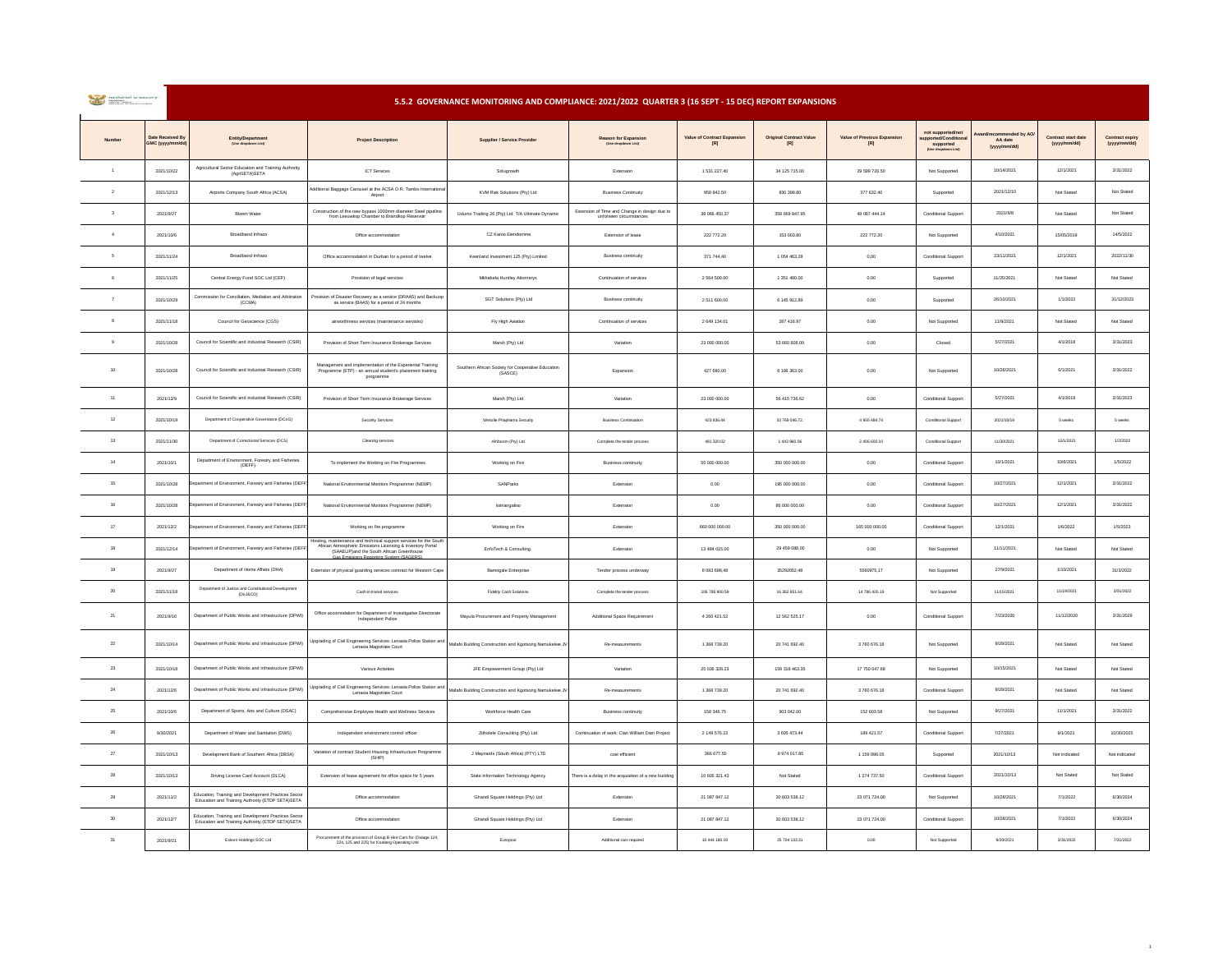|  | mational treasury<br><b>Electrician School</b><br><b>REPORT OF GOVERNMENT</b> |  |  |  |
|--|-------------------------------------------------------------------------------|--|--|--|
|--|-------------------------------------------------------------------------------|--|--|--|

 **5.5.2 GOVERNANCE MONITORING AND COMPLIANCE: 2021/2022 QUARTER 3 (16 SEPT - 15 DEC) REPORT EXPANSIONS**

| Number         | Date Received B<br>MC (yyyy/ | Entity/Depart                                                                                            | <b>Project Description</b>                                                                                                                                                                              | Supplier / Service Provider                                   | Reason for Expansion                                             | Value of Contract Expansion<br>$\left[ \mathsf{R}\right]$ | <b>Original Contract Value</b><br>[R] | Value of Previous Expansion<br>$\left[ \mathsf{R}\right]$ | not supporte<br><b>Supported</b><br>(Use dropdown Lis | nded by AC<br>AA date<br>(yyyy/mm/dd) | Contract start date<br>(yyyy/mm/dd) | Contract expiry<br>(yyyy/mm/dd) |
|----------------|------------------------------|----------------------------------------------------------------------------------------------------------|---------------------------------------------------------------------------------------------------------------------------------------------------------------------------------------------------------|---------------------------------------------------------------|------------------------------------------------------------------|-----------------------------------------------------------|---------------------------------------|-----------------------------------------------------------|-------------------------------------------------------|---------------------------------------|-------------------------------------|---------------------------------|
| $\overline{1}$ | 2021/10/22                   | Agricultural Sector Education and Training Authority<br>(AgriSETA)SETA                                   | <b>ICT</b> Services                                                                                                                                                                                     | Solugrowth                                                    | Extension                                                        | 1 531 227.40                                              | 34 125 715.00                         | 29 599 726.50                                             | Not Supported                                         | 10/14/2021                            | 12/1/2021                           | 3/31/2022                       |
| $\,$ 2 $\,$    | 2021/12/13                   | Airports Company South Africa (ACSA)                                                                     | dditional Baggage Carousel at the ACSA O.R. Tambo Internation<br>Airport                                                                                                                                | KVM Risk Solutions (Pty) Ltd.                                 | <b>Business Continuity</b>                                       | 958 842.50                                                | 830 398.80                            | 377 632.40                                                | Supported                                             | 2021/12/10                            | Not Stated                          | Not Stated                      |
| $\mathbf{a}$   | 2021/9/27                    | Bloem Water                                                                                              | Construction of the new bypass 1000mm diameter Steel pipelin<br>from Leeuwkop Chamber to Brandkop Reservoir                                                                                             | Udumo Trading 26 (Pty) Ltd T/A Ultimate Dynamic               | Extension of Time and Change in design due to<br>unforseen circu | 38 066 450.37                                             | 359 669 847.95                        | 49 087 444.14                                             | Conditional Support                                   | 2021/9/8                              | Not Stated                          | Not Stated                      |
| $\overline{4}$ | 2021/10/6                    | Broadband Infraco                                                                                        | Office accommodation                                                                                                                                                                                    | CZ Karoo Eiendomme                                            | Extension of lease                                               | 222 772.20                                                | 153 003.80                            | 222 772.20                                                | Not Supported                                         | 4/10/2021                             | 15/05/2019                          | 14/5/2022                       |
| -6             | 2021/11/24                   | <b>Broadband Infraco</b>                                                                                 | Office accommodation in Durban for a period of twelve                                                                                                                                                   | Keenland Investment 125 (Pty) Limited                         | <b>Business continuity</b>                                       | 371 744,40                                                | 1 054 463,28                          | $_{0,00}$                                                 | Conditional Support                                   | 23/11/2021                            | 12/1/2021                           | 2022/11/30                      |
| $\kappa$       | 2021/11/25                   | Central Energy Fund SOC Ltd (CEF)                                                                        | Provision of legal services                                                                                                                                                                             | Mkhabela Huntley Attornerys                                   | Continuation of services                                         | 2 564 500.00                                              | 1351480.00                            | 0.00                                                      | Supported                                             | 11/25/2021                            | Not Stated                          | Not Stated                      |
| $\overline{7}$ | 2021/10/29                   | Commission for Conciliation, Mediation and Arbitration<br>(CCMA)                                         | Provision of Disaster Recovery as a service (DRAAS) and Backuop<br>as service (BAAS) for a period of 24 months                                                                                          | SGT Solutions (Pty) Ltd                                       | <b>Business continuity</b>                                       | 2 511 600.00                                              | 6 145 912.89                          | 0.00                                                      | Supported                                             | 26/10/2021                            | 1/1/2022                            | 31/12/2023                      |
| $\mathbf{8}$   | 2021/11/18                   | Council for Geoscience (CGS)                                                                             | airworthiness services (maintenance services)                                                                                                                                                           | Fly High Aviation                                             | Continuation of services                                         | 2 649 134.01                                              | 287 416.97                            | 0.00                                                      | Not Supporter                                         | 11/9/2021                             | Not Stated                          | Not Stated                      |
| $\overline{9}$ | 2021/10/28                   | Council for Scientific and Industrial Research (CSIR)                                                    | Provision of Short Term Insurance Brokerage Services                                                                                                                                                    | Marsh (Pty) Ltd                                               | Variation                                                        | 23,000,000.00                                             | 53,660,608.00                         | 0.001                                                     | Closed                                                | 5/27/2021                             | 4/1/2018                            | 3/31/2023                       |
| 10             | 2021/10/28                   | Council for Scientific and Industrial Research (CSIR)                                                    | $\label{def:example} \begin{array}{ll} \text{Management and implementation of the Experimental Training} \\ \text{Programming (ETP) - an annual student's placement training} \end{array}$<br>programme | Southern African Society for Cooperative Education<br>(SASCE) | Expansion                                                        | 427 680.00                                                | 8 196 363.00                          | 0.00                                                      | Not Supported                                         | 10/26/2021                            | 6/1/2021                            | 3/31/2022                       |
| 11             | 2021/12/9                    | Council for Scientific and Industrial Research (CSIR)                                                    | Provision of Short Term Insurance Brokerage Services                                                                                                                                                    | Marsh (Pty) Ltd                                               | Variation                                                        | 23 000 000.00                                             | 56 415 736.62                         | 0.00                                                      | Conditional Support                                   | 5/27/2021                             | 4/1/2018                            | 3/31/2023                       |
| $12\,$         | 2021/10/19                   | Department of Cooperative Governance (DCoG)                                                              | Security Services                                                                                                                                                                                       | Wenzile Phaphama Security                                     | <b>Business Continuation</b>                                     | 423 836.44                                                | 33 769 546.72.                        | 4955484.74                                                | Conditional Support                                   | 2021/10/19                            | 5 weeks                             | 5 weeks                         |
| 13             | 2021/11/30                   | Department of Correctional Services (DCS)                                                                | Cleaning services                                                                                                                                                                                       | Afriboom (Pty) Ltd                                            | Complete the tender process                                      | 481 320.02                                                | 1443960.06                            | 2406 600.10                                               | Conditional Support                                   | 11/30/2021                            | 12/1/2021                           | 1/2/2022                        |
| 14             | 2021/10/1                    | Department of Environment, Forestry and Fisheries<br>(DEFF)                                              | To implement the Working on Fire Programmes                                                                                                                                                             | Working on Fire                                               | <b>Business continuity</b>                                       | 55 000 000.00                                             | 350 000 000.00                        | 0.00                                                      | <b>Conditional Support</b>                            | 10/1/2021                             | 10/6/2021                           | 1/5/2022                        |
| 15             | 2021/10/28                   | nent of Environment, Forestry and Fisheries (DEFF                                                        | National Environmental Monitors Programmer (NEMP)                                                                                                                                                       | SANParks                                                      | Extension                                                        | $0.00\,$                                                  | 195 000 000.00                        | $_{0.00}$                                                 | Conditional Support                                   | 10/27/2021                            | 12/1/2021                           | 3/31/2022                       |
| 16             | 2021/10/28                   | artment of Environment. Forestry and Fisheries (DEF)                                                     | National Environmental Monitors Programmer (NEMP)                                                                                                                                                       | Isimangaliso                                                  | Extension                                                        | 0.00                                                      | 86 000 000.00                         | 0.00                                                      | Conditional Support                                   | 10/27/2021                            | 12/1/2021                           | 3/31/2022                       |
| 17             | 2021/12/2                    | ment of Environment, Forestry and Fisheries (DEFF                                                        | Working on fire programme                                                                                                                                                                               | Working on Fire                                               | Extension                                                        | 660 000 000.00                                            | 350 000 000.00                        | 165 000 000.00                                            | Conditional Support                                   | 12/1/2021                             | 1/6/2022                            | 1/5/2023                        |
| 18             | 2021/12/14                   | stment of Environment. Forestry and Fisheries (DEFF                                                      | losting, maintenance and technical support services for the Sout<br>Mrican Atmospheric Emissions Licensing & Inventory Portal<br>(SAAELIP)and the South African Greenhouse                              | EnfoTech & Consulting.                                        | Extension                                                        | 13 484 015.00                                             | 29 459 088.00                         | 0.00                                                      | Not Supported                                         | 11/11/2021                            | Not Stated                          | Not Stated                      |
| 19             | 2021/9/27                    | Department of Home Affairs (DHA)                                                                         | Extension of physical guarding services contract for Western Cape                                                                                                                                       | Bamogale Enterprise                                           | Tender process underway                                          | 8 083 698,48                                              | 35292052,48                           | 5560975,17                                                | Not Supported                                         | 27/9/2021                             | 1/10/2021                           | 31/3/2022                       |
| 20             | 2021/11/18                   | Department of Justice and Constitutional Development<br>(DoJ&CD)                                         | Cash in transit services                                                                                                                                                                                | Fidelity Cash Solutions                                       | Complete the tender proces                                       | 106 786 900.59                                            | 16 362 651.64.                        | 14 786 420.19                                             | Not Supported                                         | 11/15/2021                            | 11/19/2021                          | 3/31/2022                       |
| 21             | 2021/9/16                    | Department of Public Works and Infrastructure (DPWI                                                      | Office accomodation for Department of Investigative Directorate<br>Independent Police                                                                                                                   | Mayula Procurement and Property Management                    | Additional Space Requirement                                     | 4.260.421.52                                              | 12 562 525.17                         | 0.00                                                      | Conditional Suppor                                    | 7/23/2020                             | 11/12/2020                          | 3/31/2029                       |
| 22             | 2021/10/14                   | Department of Public Works and Infrastructure (DPWI)                                                     | Upgrading of Civil Engineering Services: Lenasia Police Station and<br>Lenasia Magistrate Court                                                                                                         | Mafafo Building Construction and Kgotsong Namukelwe J\        |                                                                  | 1 368 739.20                                              | 20 741 692.40                         | 3 760 676.18                                              | Not Supported                                         | 9/28/2021                             | Not Stated                          | Not Stated                      |
| 23             | 2021/10/18                   | Department of Public Works and Infrastructure (DPWI                                                      | Various Activities                                                                                                                                                                                      | JFE Empowerment Group (Pty) Ltd                               | Variation                                                        | 25 036 328.23                                             | 159 318 463.35                        | 17 750 047.68                                             | Not Supported                                         | 10/15/2021                            | Not Stated                          | Not Stated                      |
| $24\,$         | 2021/12/6                    | Department of Public Works and Infrastructure (DPW)                                                      | Upgrading of Civil Engineering Services: Lenasia Police Station and<br>Lenasia Magistrate Court                                                                                                         | Mafafo Building Construction and Kgotsong Namukelwe J         | Re-measurements                                                  | 1 368 739.20                                              | 20 741 692.40                         | 3 760 676.18                                              | Conditional Support                                   | 9/28/2021                             | Not Stated                          | Not Stated                      |
| 25             | 2021/10/6                    | Department of Sports. Arts and Culture (DSAC)                                                            | Comprehensive Employee Health and Wellness Services                                                                                                                                                     | Workforce Health Care                                         | <b>Business continuity</b>                                       | 158 346.75                                                | 903 042.00                            | 152 603.58                                                | Not Supported                                         | 9/27/2021                             | 11/1/2021                           | 3/31/2022                       |
| $\rm 26$       | 9/30/2021                    | Department of Water and Sanitation (DWS)                                                                 | Independent environment control officer                                                                                                                                                                 | Zitholele Consulting (Pty) Ltd                                | Continuation of work: Clan William Dam Project                   | 2 149 576.22                                              | 3 605 473.44                          | 189 421.57                                                | Conditional Support                                   | 7/27/2021                             | 9/1/2021                            | 10/30/2025                      |
| 27             | 2021/10/13                   | Development Bank of Southern Africa (DBSA)                                                               | Variation of contract Student Housing Infrastructure Programm<br>(SHP)                                                                                                                                  | J Maynards (South Africa) (PTY) LTD                           | cost efficient                                                   | 366 677.50                                                | 9 974 017.85                          | 1 159 898.05                                              | Supported                                             | 2021/10/13                            | Not indicated                       | Not indicated                   |
| 28             | 2021/10/13                   | Driving License Card Account (DLCA)                                                                      | Extension of lease agreement for office space for 5 years                                                                                                                                               | State Information Technology Agency                           | There is a delay in the acquisition of a new building            | 10 926 321.43                                             | Not Stated                            | 1 274 737.50                                              | Conditional Support                                   | 2021/10/13                            | Not Stated                          | Not Stated                      |
| $29\,$         | 2021/11/2                    | Education, Training and Development Practices Se<br>Education and Training Authority (ETDP SETA)SETA     | Office accommodation                                                                                                                                                                                    | Ghandi Square Holdings (Pty) Ltd                              | Extension                                                        | 21 087 847.12                                             | 30 603 538.12                         | 23 071 724.00                                             | Not Supported                                         | 10/28/2021                            | 7/1/2022                            | 6/30/2024                       |
| 30             | 2021/12/7                    | Education, Training and Development Practices Sector<br>Education and Training Authority (ETDP SETA)SETA | Office accommodation                                                                                                                                                                                    | Ghandi Square Holdings (Pty) Ltd                              | Extension                                                        | 21 087 847.12                                             | 30 603 538.12                         | 23 071 724.00                                             | Conditional Suppor                                    | 10/28/2021                            | 7/1/2022                            | 6/30/2024                       |
| 31             | 2021/9/21                    | Eskom Holdings SOC Ltd                                                                                   | Procurement of the provision of Group B Hire Cars for (Outage 124,<br>224, 125 and 225) for Koeberg Operating Unit                                                                                      | Europcar                                                      | Additional cars required                                         | 10 444 180.00                                             | 25 704 133.31                         | 0.00                                                      | Not Supported                                         | 9/20/2021                             | 3/31/2022                           | 7/31/2022                       |

1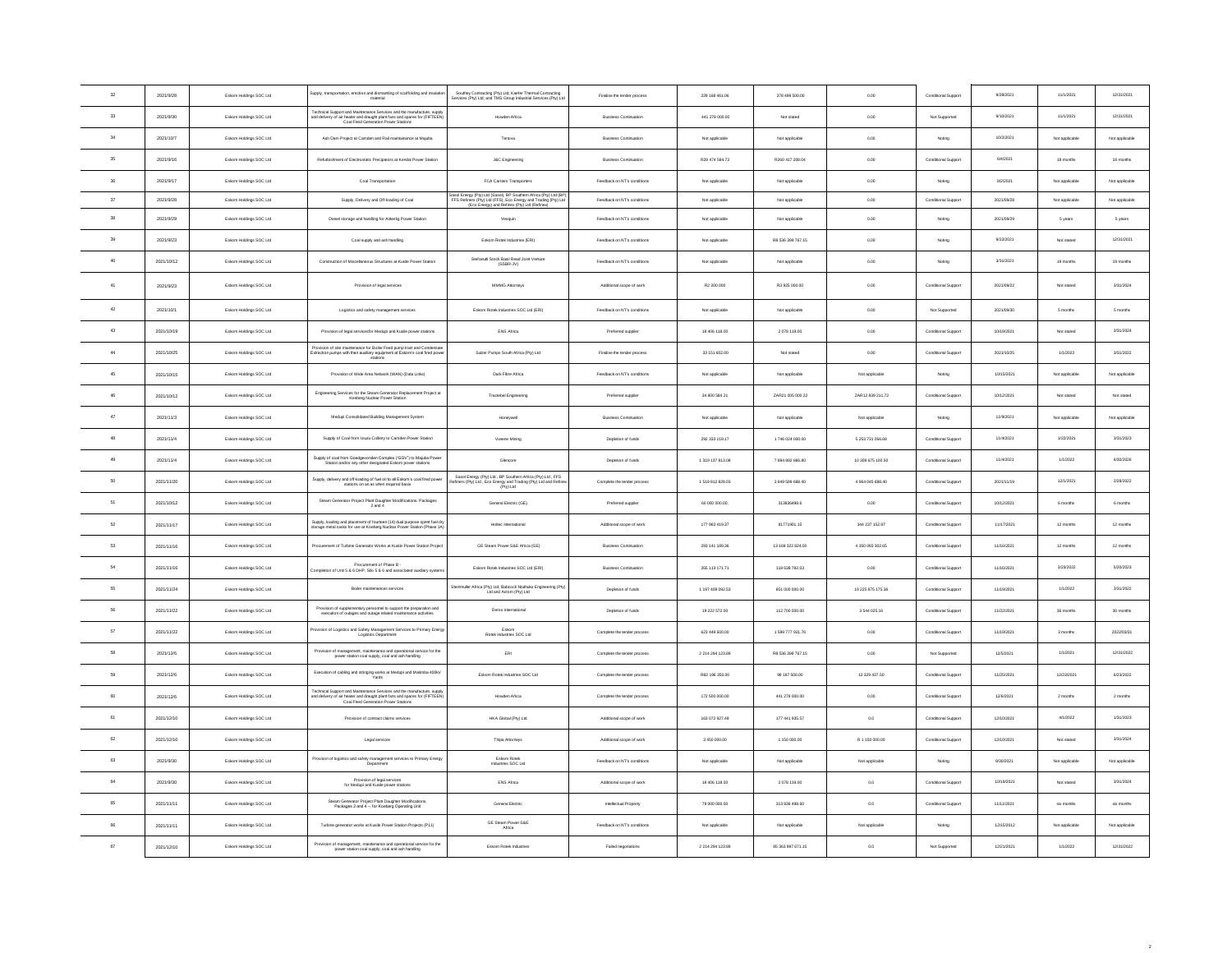| $_{32}$       | 2021/9/28  | Eskom Holdings SOC Ltd | Supply, transportation, erection and dismantling of scaffolding and insulati<br>material                                                                                                     | Southey Contracting (Pty) Ltd; Kaefer Thermal Contracting<br>Services (Pty) Ltd; and TMS Group Industrial Services (Pty) Ltd                                                        | Finalise the tender process  | 229 168 461.06          | 378 499 500.00     | 0.00              | Conditional Support | 9/28/2021  | 11/1/2021      | 12/31/2021     |
|---------------|------------|------------------------|----------------------------------------------------------------------------------------------------------------------------------------------------------------------------------------------|-------------------------------------------------------------------------------------------------------------------------------------------------------------------------------------|------------------------------|-------------------------|--------------------|-------------------|---------------------|------------|----------------|----------------|
| 33            | 2021/9/30  | Eskom Holdings SOC Ltd | Technical Support and Maintenance Services and the manufacture, supply<br>and delivery of air heater and draught plant fans and spares for (FIFTEEN)<br>Coal Fired Generation Power Stations | Howden Africa                                                                                                                                                                       | <b>Business Continuation</b> | 441 278 000.00          | Not stated         | 0.00              | Not Supported       | 9/10/2021  | 11/1/2021      | 12/31/2021     |
| 34            | 2021/10/7  | Eskom Holdings SOC Ltd | Ash Dam Project at Camden and Rail maintainance at Majuba                                                                                                                                    | Tenova                                                                                                                                                                              | <b>Business Continuation</b> | Not applicable          | Not applicable     | $_{0.00}$         | Noting              | 10/2/2021  | Not applicable | Not applicable |
| 35            | 2021/9/16  | Eskom Holdings SOC Ltd | Refurbishment of Electrostatic Precipators at Kendal Power Station                                                                                                                           | J&C Engineering                                                                                                                                                                     | <b>Business Continuation</b> | R28 474 584.73          | R260 417 208.04    | 0.00              | Conditional Support | 6/4/2021   | 18 months      | 18 months      |
| 36            | 2021/9/17  | Eskom Holdings SOC Ltd | Coal Transportation                                                                                                                                                                          | FCA Carriers Transporters                                                                                                                                                           | Feedback on NT's conditions  | Not applicable          | Not applicable     | 0.00              | Noting              | 8/2/2021   | Not applicable | Not applicable |
| 37            | 2021/9/28  | Eskom Holdings SOC Ltd | Supply, Delivery and Off-loading of Coal                                                                                                                                                     | Sasol Energy (Pty) Ltd (Sasol), BP Southern Africa (Pty) Ltd (BP)<br>FFS Refiners (Pty) Ltd (FFS), Eco Energy and Trading (Pty) Ltd<br>(Eco Energy) and Refinex (Pty) Ltd (Refinex) | Feedback on NT's conditions  | Not applicable          | Not applicable     | $_{0.00}$         | Conditional Support | 2021/09/28 | Not applicable | Not applicable |
| 38            | 2021/9/29  | Eskom Holdings SOC Ltd | Diesel storage and handling for Ankerlig Power Station                                                                                                                                       | Vesquin                                                                                                                                                                             | Feechack on NT's conditions  | Not applicable          | Not applicable     | 0.00              | Noting              | 2021/09/29 | 5 years        | 5 years        |
| 39            | 2021/9/23  | Eskom Holdings SOC Ltd | Coal supply and ash handling                                                                                                                                                                 | Eskom Rotek Industries (ERI)                                                                                                                                                        | Feedback on NT's conditions  | Not applicable          | R8 536 399 767.15  | 0.00              | Noting              | 9/22/2021  | Not stated     | 12/31/2021     |
| 40            | 2021/10/12 | Eskom Holdings SOC Ltd | Construction of Miscellaneous Structures at Kusile Power Station                                                                                                                             | Stefanutti Stock Basil Read Joint Venture<br>(SSBR-JV)                                                                                                                              | Feedback on NT's conditions  | Not applicable          | Not applicable     | 0.00              | Noting              | 3/31/2021  | 19 months      | 19 months      |
| 41            | 2021/9/23  | Eskom Holdings SOC Ltd | Provision of legal services                                                                                                                                                                  | MMMG Attorneys                                                                                                                                                                      | Additional scope of work     | R2 200 000              | R3 925 000.00      | 0.00              | Conditional Support | 2021/09/22 | Not stated     | 3/31/2024      |
| 42            | 2021/10/1  | Eskom Holdings SOC Ltd | Logistics and safety management services                                                                                                                                                     | Eskom Rotek Industries SOC Ltd (ERI)                                                                                                                                                | Feedback on NT's conditions  | Not applicable          | Not applicable     | 0.00              | Not Supported       | 2021/09/30 | 5 months       | 5 months       |
| $43\,$        | 2021/10/19 | Eskom Holdings SOC Ltd | Provision of legal servicesfor Medupi and Kusile power stations                                                                                                                              | ENS Africa                                                                                                                                                                          | Preferred supplier           | 18 406 118.00           | 2 078 119.00       | 0.00              | Conditional Support | 10/19/2021 | Not stated     | 3/31/2024      |
| 44            | 2021/10/25 | Eskom Holdings SOC Ltd | Provision of site maintenance for Boller Feed pump train and Condensat<br>Extraction pumps with their auxiliary equipment at Eskom's coal fired pow<br>stations                              | Sulzer Pumps South Africa (Pty) Ltd                                                                                                                                                 | Finalise the tender process  | 33 151 602.00           | Not stated         | 0.00              | Conditional Support | 2021/10/25 | 1/1/2022       | 3/31/2022      |
| $4\mathrm{S}$ | 2021/10/15 | Eskom Holdings SOC Ltd | Provision of Wide Area Network (WAN) (Data Links)                                                                                                                                            | Dark Fibre Africa                                                                                                                                                                   | Feedback on NT's conditions  | Not applicable          | Not applicable     | Not applicable    | Noting              | 10/15/202  | Not applicable | Not applicable |
| 46            | 2021/10/12 | Eskom Holdings SOC Ltd | Engineering Services for the Steam Generator Replacement Project at<br>Koeberg Nuclear Power Station                                                                                         | Tractebel Engineering                                                                                                                                                               | Preferred supplier           | 34 800 584.21           | ZAR21 005 000.22   | ZAR12 839 211.72  | Conditional Support | 10/12/2021 | Not stated     | Not stated     |
| 47            | 2021/11/3  | Eskom Holdings SOC Ltd | Medupi Consolidated Building Management System                                                                                                                                               | Honeywell                                                                                                                                                                           | <b>Business Continuation</b> | Not applicable          | Not applicable     | Not applicable    | Noting              | 11/9/2021  | Not applicable | Not applicable |
| 48            | 2021/11/4  | Eskom Holdings SOC Ltd | Supply of Coal from Usutu Colliery to Camden Power Station                                                                                                                                   | Vunene Mining                                                                                                                                                                       | Depletion of funds           | 292 333 119.17          | 1746 024 000.00    | 5 253 731 056.68  | Conditional Support | 11/4/2021  | 1/22/2021      | 3/31/2023      |
| 49            | 2021/11/4  | Eskom Holdings SOC Ltd | Supply of coal from Goedgevonden Complex ("GGV") to Majuba Pow<br>Station and/or any other designated Eskom power stations                                                                   | Glencore                                                                                                                                                                            | Depletion of funds           | 1319 137 813.08         | 7 894 892 866.80   | 10 309 675 100.50 | Conditional Support | 11/4/2021  | 1/1/2022       | 6/30/2026      |
| 50            | 2021/11/20 | Eskom Holdings SOC Ltd | Supply, delivery and off-loading of fuel oil to all Eskom's coal fired power<br>stations on an as when required basis                                                                        | Sasol Energy (Pty) Ltd , BP Southern Africa (Pty) Ltd , FFS<br>Refiners (Pty) Ltd , Eco Energy and Trading (Pty) Ltd and Refin                                                      | Complete the tender process  | 1519812828.03           | 3 649 589 688.40   | 4964045688.40     | Conditional Support | 2021/11/19 | 12/1/2021      | 2/28/2022      |
| 61            | 2021/10/12 | Eskom Holdings SOC Ltd | Steam Generator Project Plant Daughter Modifications, Packages<br>2 and 4                                                                                                                    | General Electric (GE)                                                                                                                                                               | Preferred supplier           | 60,000,000.00           | 313836498.6        | 0.00              | Conditional Support | 10/12/2021 | 6 months       | 6 months       |
| 62            | 2021/11/17 | Eskom Holdings SOC Ltd | .<br>Supply, loading and placement of fourteen (14) dual purpose spent fuel dr<br>lorage metal casks for use at Koeberg Nuclear Power Station (Phase 1A                                      | Holtec International                                                                                                                                                                | Additional scope of work     | 177 963 419.37          | 81771901.15        | 344 237 152.97    | Conditional Support | 11/17/2021 | 12 months      | 12 months      |
| 63            | 2021/11/16 | Eskom Holdings SOC Ltd | rocurement of Turbine Generator Works at Kusile Power Station Project                                                                                                                        | GE Steam Power S&E Africa (GE)                                                                                                                                                      | <b>Business Continuation</b> | 293 141 189.36          | 13 168 322 824.00  | 4 350 083 302.65  | Conditional Support | 11/16/2021 | 12 months      | 12 months      |
| 64            | 2021/11/16 | Eskom Holdings SOC Ltd | Procurement of Phase B -<br>Completion of Unit 5 & 6 DHP, Silo 5 & 6 and associated auxiliary system                                                                                         | Eskom Rotek Industries SOC Ltd (ERI)                                                                                                                                                | <b>Business Continuation</b> | 265 113 171.71          | 118 638 782.03     | 0.00              | Conditional Support | 11/16/2021 | 3/23/2022      | 5/20/2023      |
| 65            | 2021/11/24 | Eskom Holdings SOC Ltd | Boiler maintenances services                                                                                                                                                                 | Steinmuller Africa (Pty) Ltd, Babcock Ntuthuko Engineering (Pt)<br>Ltd and Actom (Pty) Ltd                                                                                          | Depletion of funds           | 1 197 409 092.53        | 851 000 000.00     | 19 225 875 175.36 | Conditional Support | 11/19/2021 | 1/1/2022       | 3/31/2022      |
| 66            | 2021/11/22 | Eskom Holdings SOC Ltd | Provision of supplementary personnel to support the preparation and<br>execution of outages and outage related maintenance activities                                                        | Deros International                                                                                                                                                                 | Depletion of funds           | 19 222 572.00           | 112 700 000.00     | 3 544 025.16      | Conditional Support | 11/22/2021 | 36 months      | 36 months      |
| 57            | 2021/11/22 | Eskom Holdings SOC Ltd | rovision of Logistics and Safety Management Services to Primary Energ<br>Logistics Department                                                                                                | Eskom<br>Rotek Industries SOC Ltd                                                                                                                                                   | Complete the tender process  | 623 449 500.00          | 1 599 777 921.76   | 0.00              | Conditional Support | 11/19/2021 | 3 months       | 2022/03/31     |
| 58            | 2021/12/8  | Eskom Holdings SOC Ltd | Provision of management, maintenance and operational service for the<br>power station coal supply, coal and ash handling                                                                     | ERL                                                                                                                                                                                 | Complete the tender process  | 2 214 294 123 89        | R 8 536 399 767 15 | 0.00              | Not Supported       | 12/5/2021  | 1/1/2021       | 12/31/2022     |
| 59            | 2021/12/6  | Eskom Holdings SOC Ltd | Execution of cabling and stringing works at Medupi and Matimba 400KV                                                                                                                         | Eskom Rotek Industries SOC Ltd                                                                                                                                                      | Complete the tender process  | R82 196 350.00          | 99 187 500.00      | 12 329 437.50     | Conditional Support | 11/25/202  | 12/23/2021     | 6/23/2022      |
| 60            | 2021/12/6  | Eskom Holdings SOC Ltd | Technical Support and Maintenance Services and the manufacture, supply<br>and delivery of air heater and draught plant fans and spares for (FIFTEEN)<br>Coal Fired Generation Power Stations | Howden Africa                                                                                                                                                                       | Complete the tender process  | 172 500 000.00          | 441 278 000.00     | 0.00              | Conditional Support | 12/6/2021  | 2 months       | 2 months       |
| 61            | 2021/12/10 | Eskom Holdings SOC Ltd | Provision of contract claims services                                                                                                                                                        | HKA Global (Pty) Ltd                                                                                                                                                                | Additional scope of work     | 163.072.927.49          | 177 441 935.57     | 0.0               | Conditional Support | 12/10/2021 | 4/1/2022       | 1/31/2023      |
| 62            | 2021/12/10 | Eskom Holdings SOC Ltd | Legal services                                                                                                                                                                               | Thipa Attorneys                                                                                                                                                                     | Additional scope of work     | 3 450 000.00            | 1 150 000.00       | R 1 150 000.00    | Conditional Support | 12/10/2021 | Not stated     | 3/31/2024      |
| $63\,$        | 2021/9/30  | Eskom Holdings SOC Ltd | Provison of logistics and safety management services to Primary Energy<br>Department                                                                                                         | Eskom Rotek<br>Industries SOC Ltd                                                                                                                                                   | Feechack on NT's conditions  | Not applicable          | Not applicable     | Not applicable    | Noting              | 9/30/2021  | Not applicable | Not applicable |
| $64\,$        | 2021/9/30  | Eskom Holdings SOC Ltd | Provision of legal services<br>for Medupi and Kusile power stations                                                                                                                          | ENS Africa                                                                                                                                                                          | Additional scope of work     | 18 406 118.00           | 2 078 119.00       | 0.0               | Conditional Support | 10/19/2021 | Not stated     | 3/31/2024      |
| 65            | 2021/11/11 | Eskom Holdings SOC Ltd | Steam Generator Project Plant Daughter Modification<br>Packages 2 and 4 -, for Koeberg Operating Unit                                                                                        | General Electric                                                                                                                                                                    | Intellectual Property        | 79 000 000.00           | 313 836 498.60     | 0.0               | Conditional Support | 11/11/2021 | six months     | six months     |
| 66            | 2021/11/11 | Eskom Holdings SOC Ltd | Turbine generator works at Kusile Power Station Projects (P11)                                                                                                                               | GE Steam Power S&E<br>Africa                                                                                                                                                        | Feedback on NT's condition   | Not applicable          | Not applicable     | Not applicable    | Noting              | 12/15/2012 | Not applicabl  | Not applicable |
| 67            | 2021/12/10 | Eskom Holdings SOC Ltd | Provision of management, maintenance and operational service for the<br>power station coal supply, coal and ash handling                                                                     | Eskom Rotek Industries                                                                                                                                                              | Failed negotiations          | 2 2 1 4 2 9 4 1 2 3 8 9 | 85 363 997 671.15  | $_{0.0}$          | Not Supported       | 12/21/2021 | 1/1/2022       | 12/31/2022     |
|               |            |                        |                                                                                                                                                                                              |                                                                                                                                                                                     |                              |                         |                    |                   |                     |            |                |                |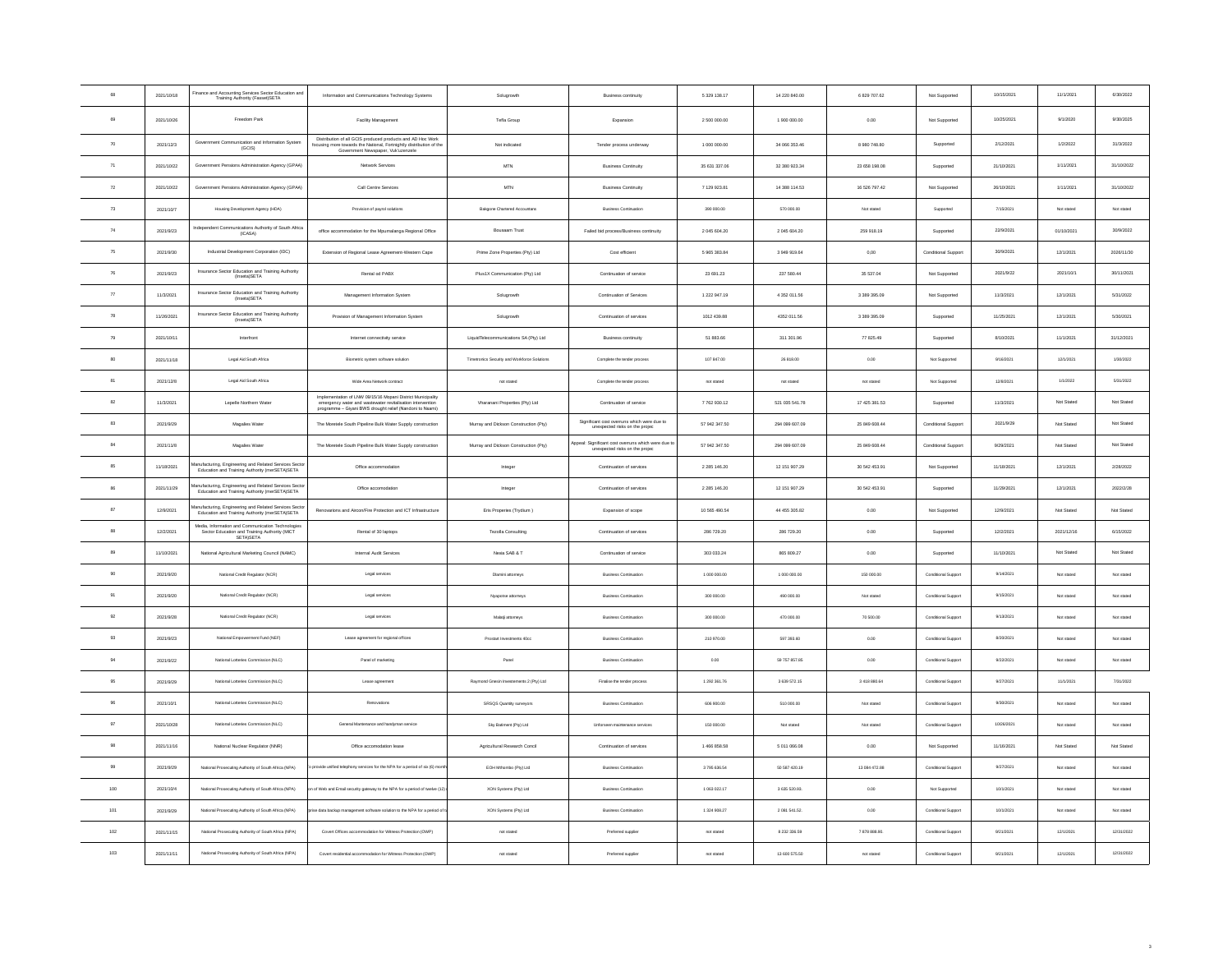| 68                   | 2021/10/18 | Finance and Accounting Services Sector Education and<br>Training Authority (Fasset)SETA                         | Information and Communications Technology Systems                                                                                                                               | Solugrowth                                   | <b>Business continuity</b>                                                       | 5 329 138.17  | 14 220 840.00  | 6 829 707.62  | Not Supported       | 10/15/2021 | 11/1/2021  | 6/30/2022  |
|----------------------|------------|-----------------------------------------------------------------------------------------------------------------|---------------------------------------------------------------------------------------------------------------------------------------------------------------------------------|----------------------------------------------|----------------------------------------------------------------------------------|---------------|----------------|---------------|---------------------|------------|------------|------------|
| 69                   | 2021/10/26 | Freedom Park                                                                                                    | Facility Management                                                                                                                                                             | Tefla Group                                  | Expansion                                                                        | 2 500 000.00  | 1 900 000.00   | 0.00          | Not Supported       | 10/25/2021 | 9/1/2020   | 9/30/2025  |
| 70                   | 2021/12/3  | Government Communication and Information System<br>(GCIS)                                                       | Distribution of all GCIS produced products and AD Hoc Work<br>focusing more towards the National, Fortnightly distribution of the<br>Government Newspaper, Vuk'uzenzele         | Not indicated                                | Tender process underway                                                          | 1 000 000.00  | 34 066 353.46  | 8 980 748.80  | Supported           | 2/12/2021  | 1/2/2022   | 31/3/2022  |
| 71                   | 2021/10/22 | Government Pensions Administration Agency (GPAA)                                                                | Network Services                                                                                                                                                                | <b>MTN</b>                                   | <b>Business Continuity</b>                                                       | 35 631 337.06 | 32 380 923.34  | 23 658 198.08 | Supported           | 21/10/202  | 1/11/2021  | 31/10/2022 |
| $\scriptstyle\rm 72$ | 2021/10/22 | Government Pensions Administration Agency (GPAA)                                                                | Call Centre Services                                                                                                                                                            | <b>MTN</b>                                   | <b>Business Continuity</b>                                                       | 7 129 923.81  | 14 388 114.53  | 16 526 797.42 | Not Supported       | 26/10/2021 | 1/11/2021  | 31/10/2022 |
| 73                   | 2021/10/7  | Housing Development Agency (HDA)                                                                                | Provision of payrol solutions                                                                                                                                                   | Bakgone Chartered Accountans                 | <b>Business Continuation</b>                                                     | 390 000.00    | 570 000.00     | Not stated    | Supported           | 7/15/2021  | Not stated | Not stated |
| 74                   | 2021/9/23  | Independent Communications Authority of South Africa<br>(ICASA)                                                 | office accommodation for the Mpumalanga Regional Office                                                                                                                         | Bousaam Trust                                | Failed bid process/Business continuity                                           | 2 045 604.20  | 2 045 604.20   | 259 918.19    | Supported           | 22/9/2021  | 01/10/2021 | 30/9/2022  |
| 75                   | 2021/9/30  | Industrial Development Corporation (IDC)                                                                        | Extension of Regional Lease Agreement-Western Cape                                                                                                                              | Prime Zone Properties (Pty) Ltd              | Cost efficient                                                                   | 5 965 383.84  | 3 949 919.64   | $_{0,00}$     | Conditional Support | 30/9/2021  | 12/1/2021  | 2026/11/30 |
| 76                   | 2021/9/23  | Insurance Sector Education and Training Authority<br>(Inseta)SETA                                               | Rental od PABX                                                                                                                                                                  | Plus1X Communication (Pty) Ltd               | Continuation of service                                                          | 23 691.23     | 237 580.44     | 35 537.04     | Not Supported       | 2021/9/22  | 2021/10/1  | 30/11/2021 |
| $77\,$               | 11/3/2021  | Insurance Sector Education and Training Authority<br>(Inseta)SETA                                               | Management Information System                                                                                                                                                   | Solugrowth                                   | Continuation of Services                                                         | 1 222 947.19  | 4 352 011.56   | 3 389 395.09  | Not Supported       | 11/3/2021  | 12/1/2021  | 5/31/2022  |
| 78                   | 11/26/2021 | Insurance Sector Education and Training Authority<br>(Inseta)SETA                                               | Provision of Management Information System                                                                                                                                      | Solugrowth                                   | Continuation of services                                                         | 1012 439.88   | 4352 011.56    | 3 389 395.09  | Supported           | 11/25/2021 | 12/1/2021  | 5/30/2021  |
| 79                   | 2021/10/11 | Interfront                                                                                                      | Internet connectivity service                                                                                                                                                   | LiquidTelecommunications SA (Pty) Ltd        | <b>Business continuity</b>                                                       | 51,883.66     | 311.301.96     | 77 825 49     | Supported           | 8/10/2021  | 11/1/2021  | 31/12/2021 |
| 80                   | 2021/11/18 | Legal Aid South Africa                                                                                          | Biometric system software solution                                                                                                                                              | Timetronics Security and Workforce Solutions | Complete the tender process                                                      | 107 847.00    | 26 818.00      | $_{0.00}$     | Not Supporter       | 9/16/2021  | 12/1/2021  | 1/30/2022  |
| 81                   | 2021/12/8  | Legal Aid South Africa                                                                                          | Wide Area Network contract                                                                                                                                                      | not stated                                   | Complete the tender process                                                      | not stated    | not stated     | not stated    | Not Supported       | 12/8/2021  | 1/1/2022   | 5/31/2022  |
| 82                   | 11/3/2021  | Lepelle Northern Water                                                                                          | Implementation of LNW 09/15/16 Mopani District Municipality<br>emergency water and wastewater revitalisation intervention<br>nme - Giyani BWS drought relief (Nandoni to Nsami) | Vharanani Properties (Pty) Ltd               | Continuation of service                                                          | 7762930.12    | 521 035 541.78 | 17 425 381.53 | Supported           | 11/3/2021  | Not Stated | Not Stated |
| 83                   | 2021/9/29  | Magalies Water                                                                                                  | The Moretele South Pipeline Bulk Water Supply construction                                                                                                                      | Murray and Dickson Construction (Pty)        | Significant cost overruns which were due to<br>unexpected risks on the project   | 57 942 347 50 | 294,099,607.09 | 25 849 608 44 | Conditional Support | 2021/9/29  | Not Stated | Not Stated |
| 84                   | 2021/11/8  | Magalies Wate                                                                                                   | The Moretele South Pipeline Bulk Water Supply construction                                                                                                                      | Murray and Dickson Construction (Pty)        | peal: Significant cost overruns which were due to unexpected risks on the projec | 57 942 347.50 | 294 099 607.09 | 25 849 608.44 | Conditional Suppor  | 9/29/2021  | Not Stated | Not Stated |
| 85                   | 11/18/2021 | <b>fanufacturing, Engineering and Related Services Sector</b><br>Education and Training Authority (merSETA)SETA | Office accommodation                                                                                                                                                            | Integer                                      | Continuation of services                                                         | 2 2 8 14 6.20 | 12 151 907.29  | 30 542 453.91 | Not Supported       | 11/18/2021 | 12/1/2021  | 2/28/2022  |
| 86                   | 2021/11/29 | tanufacturing, Engineering and Related Services Sector<br>Education and Training Authority (merSETA)SETA        | Office accomodation                                                                                                                                                             | Integer                                      | Continuation of services                                                         | 2 2 8 14 6.20 | 12 151 907.29  | 30 542 453.91 | Supported           | 11/29/2021 | 12/1/2021  | 2022/2/28  |
| $_{\rm 87}$          | 12/9/2021  | Manufacturing, Engineering and Related Services Sector<br>Education and Training Authority (merSETA)SETA        | Renovations and Aircon/Fire Protection and ICT Infrastructure                                                                                                                   | Eris Properies (Trydium)                     | Expansion of scope                                                               | 10 565 490.54 | 44 455 305.82  | 0.00          | Not Supported       | 12/9/2021  | Not Stated | Not Stated |
| 88                   | 12/2/2021  | Media, Information and Communication Technologies<br>Sector Education and Training Authority (MICT<br>SETA)SETA | Rental of 30 laptops                                                                                                                                                            | Tezolla Consulting                           | Continuation of services                                                         | 286 729.20    | 286 729 20     | 0.00          | Supported           | 12/2/2021  | 2021/12/16 | 6/15/2022  |
| 89                   | 11/10/2021 | National Agricultural Marketing Council (NAMC)                                                                  | Internal Audit Services                                                                                                                                                         | Nexia SAB & T                                | Continuation of service                                                          | 303 033.24    | 865 809.27     | $_{0.00}$     | Supported           | 11/10/2021 | Not Stated | Not Stated |
| 90                   | 2021/9/20  | National Credit Regulator (NCR)                                                                                 | Legal services                                                                                                                                                                  | Diamini attorneys                            | Business Continuation                                                            | 1 000 000.00  | 1 000 000.00   | 150 000.00    | Conditional Support | 9/14/2021  | Not stated | Not stated |
| 91                   | 2021/9/20  | National Credit Regulator (NCR)                                                                                 | Legal services                                                                                                                                                                  | Nyapotse attorneys                           | <b>Business Continuation</b>                                                     | 300 000.00    | 490 000.00     | Not stated    | Conditional Support | 9/15/2021  | Not stated | Not stated |
| 92                   | 2021/9/28  | National Credit Regulator (NCR)                                                                                 | Logal services                                                                                                                                                                  | Malati attorneys                             | <b>Business Continuation</b>                                                     | 300 000.00    | 470 000.00     | 70 500.00     | Conditional Support | 9/13/2021  | Not stated | Not stated |
| 93                   | 2021/9/23  | National Empowerment Fund (NEF)                                                                                 | Lease agreement for regional offices                                                                                                                                            | Prostart Investments 40cc                    | <b>Business Continuation</b>                                                     | 210 970.00    | 597 393.60     | 0.00          | Conditional Support | 8/20/2021  | Not stated | Not stated |
| 94                   | 2021/9/22  | National Lotteries Commission (NLC)                                                                             | Panel of marketing                                                                                                                                                              | Panel                                        | <b>Business Continuation</b>                                                     | 0.00          | 59 757 857.85  | 0.00          | Conditional Support | 9/22/2021  | Not stated | Not stated |
| $95\,$               | 2021/9/29  | National Lotteries Commission (NLC)                                                                             | Lease agreement                                                                                                                                                                 | Raymond Gnesin Investements 2 (Pty) Ltd      | Finalise the tender process                                                      | 1 292 361.76  | 3 639 572.15   | 3418880.64    | Conditional Support | 9/27/2021  | 11/1/2021  | 7/31/2022  |
| 96                   | 2021/10/1  | National Lotteries Commission (NLC)                                                                             | Renovations                                                                                                                                                                     | SRSQS Quantity surveyors                     | <b>Business Continuation</b>                                                     | 606 900.00    | 510 000.00     | Not stated    | Conditional Support | 9/30/2021  | Not stated | Not stated |
| $97\,$               | 2021/10/28 | National Lotteries Commission (NLC)                                                                             | General Mantenance and handyman service                                                                                                                                         | Sky Batiment (Ptv) Ltd.                      | Unforseen maintenance services                                                   | 150 000.00    | Not stated     | Not stated    | Conditional Support | 10/26/2021 | Not stated | Not stated |
| 98                   | 2021/11/16 | National Nuclear Regulator (NNR)                                                                                | Office accomodation lease                                                                                                                                                       | Agricultural Research Concil                 | Continuation of services                                                         | 1466 858.58   | 5 011 066.08   | 0.00          | Not Supported       | 11/16/2021 | Not Stated | Not Stated |
| 99                   | 2021/9/29  | onal Prosecuting Authority of South Africa (NPA)                                                                | rovide unified telephony services for the NPA for a period of six (6) mo                                                                                                        | EOH Mthombo (Pty) Ltd                        | <b>Business Continuation</b>                                                     | 3795636.54    | 50 587 420.19  | 13 084 472.88 | Conditional Support | 9/27/2021  | Not stated | Not stated |
| 100                  | 2021/10/4  | National Prosecuting Authority of South Africa (NPA)                                                            | of Web and Email security gateway to the NPA for a period of twelve (12                                                                                                         | XON Systems (Pty) Ltd                        | <b>Business Continuation</b>                                                     | 1 063 022.17  | 3 635 520.93.  | 0.00          | Not Supported       | 10/1/2021  | Not stated | Not stated |
| 101                  | 2021/9/29  | National Prosecuting Authority of South Africa (NPA)                                                            | ise data backup management software solution to the NPA for a period o                                                                                                          | XON Systems (Pty) Ltd                        | <b>Business Continuation</b>                                                     | 1 324 908 27  | 2 081 541.52.  | 0.00          | Conditional Support | 10/1/2021  | Not stated | Not stated |
| 102                  | 2021/11/15 | National Prosecuting Authority of South Africa (NPA)                                                            | Covert Offices accommodation for Witness Protection (OWP)                                                                                                                       | not stated                                   | Preferred supplier                                                               | not stated    | 8 232 336.59   | 7878888.90    | Conditional Support | 9/21/2021  | 12/1/2021  | 12/31/2022 |
| 103                  | 2021/11/11 | National Prosecuting Authority of South Africa (NPA)                                                            | Covert residential accommodation for Witness Protection (OWP)                                                                                                                   | not stated                                   | Preferred supplie                                                                | not stated    | 13 600 575.50  | not stated    | Conditional Support | 9/21/2021  | 12/1/2021  | 12/31/2022 |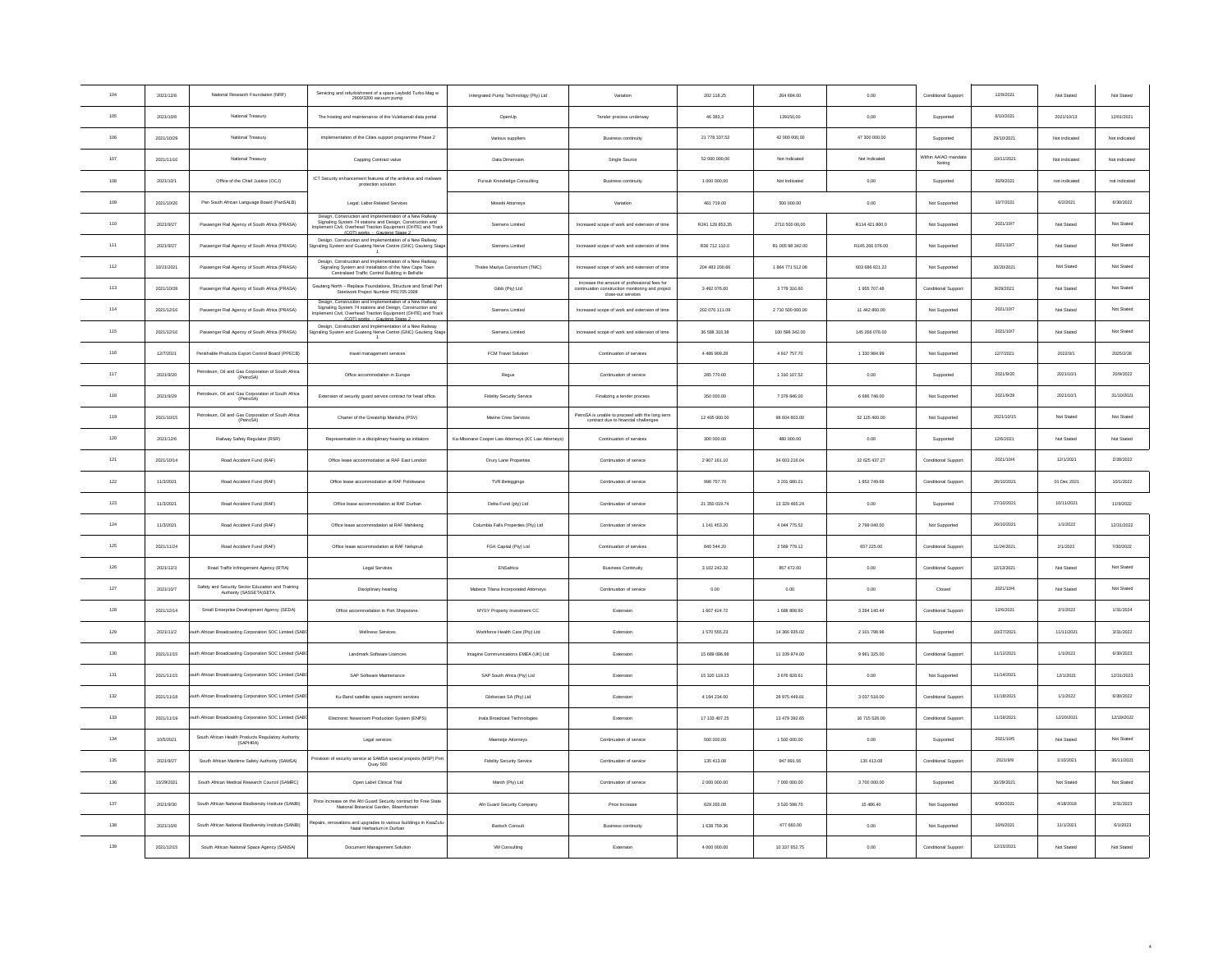| 104 | 2021/12/8  | National Research Foundation (NRF)                                           | Servicing and refurbishment of a spare Leybold Turbo Mag w<br>2800/3200 vacuum pump                                                                                                                                       | Intergrated Pump Technology (Pty) Ltd              | Variation                                                                                                              | 202 118.25      | 264 684.00       | 0.00            | Conditional Support          | 12/8/2021  | Not Stated    | Not Stated    |
|-----|------------|------------------------------------------------------------------------------|---------------------------------------------------------------------------------------------------------------------------------------------------------------------------------------------------------------------------|----------------------------------------------------|------------------------------------------------------------------------------------------------------------------------|-----------------|------------------|-----------------|------------------------------|------------|---------------|---------------|
| 105 | 2021/10/8  | National Treasury                                                            | The hosting and maintenance of the Vulekamali data portal                                                                                                                                                                 | OpenUp                                             | Tender process underway                                                                                                | 46 383,3        | 139150,00        | $_{0,00}$       | Supported                    | 6/10/2021  | 2021/10/13    | 12/01/2021    |
| 106 | 2021/10/29 | National Treasury                                                            | Implementation of the Cities support programme Phase 2                                                                                                                                                                    | Various suppliers                                  | <b>Business continuity</b>                                                                                             | 21 778 337,52   | 42 000 000,00    | 47 300 000,00   | Supported                    | 29/10/2021 | Not indicated | Not indicated |
| 107 | 2021/11/10 | National Treasury                                                            | Capping Contract value                                                                                                                                                                                                    | Data Dimension                                     | Single Source                                                                                                          | 52 000 000,00   | Not Indicated    | Not Indicated   | Within AA/AO manda<br>Noting | 10/11/2021 | Not indicated | Not indicated |
| 108 | 2021/10/1  | Office of the Chief Justice (OCJ)                                            | ICT Security enhancement features of the antivirus and malware<br>protection solution                                                                                                                                     | Pursuit Knowledge Consulting                       | <b>Business continuity</b>                                                                                             | 1 000 000,00    | Not Indicated    | $_{0,00}$       | Supported                    | 30/9/2021  | not indicated | not indicated |
| 109 | 2021/10/20 | Pan South African Language Board (PanSALB)                                   | Legal: Labor Related Services                                                                                                                                                                                             | Mosebi Attorneys                                   | Variation                                                                                                              | 461 719.00      | 500 000.00       | 0.00            | Not Supported                | 10/7/2021  | 6/2/2021      | 6/30/2022     |
| 110 | 2021/9/27  | Passenger Rail Agency of South Africa (PRASA)                                | Design, Construction and Impler<br>entation of a New Railwa<br>Signaling System 74 stations and Design, Construction and<br>mplement Civil, Overhead Traction Equipment (OHTE) and Track<br>(COT) works - Gauteno Stage 2 | Siemens Limited                                    | Increased scope of work and extension of time                                                                          | R241 128 853.35 | 2710 500 00:00   | R114 421 800.0  | Not Supported                | 2021/10/7  | Not Stated    | Not Stated    |
| 111 | 2021/9/27  | Passenger Rail Agency of South Africa (PRASA)                                | Design, Construction and Implementation of a New Railway<br>naling System and Guateng Nerve Centre (GNC) Gauteng Stag                                                                                                     | Siemens Limited                                    | Increased scope of work and extension of time                                                                          | R36 712 110.0   | R1 005 98 342.00 | R145 266 076.00 | Not Supported                | 2021/10/7  | Not Stated    | Not Stated    |
| 112 | 10/21/2021 | Passenger Rail Agency of South Africa (PRASA)                                | Design, Construction and Implementation of a New Railway<br>Signaling System and Installation of the New Cape Town<br>Centralised Traffic Control Building in Bellville                                                   | Thales Maziya Consortium (TMC)                     | ncreased scope of work and extension of time                                                                           | 204 483 200.66  | 1864 771 512.08  | 603 686 821.22  | Not Supported                | 10/20/2021 | Not Stated    | Not Stated    |
| 113 | 2021/10/28 | Passenger Rail Agency of South Africa (PRASA)                                | Gauteng North - Replace Foundations, Structure and Small Part<br>Steelwork Project Number PR1705-2008                                                                                                                     | Gibb (Pty) Ltd                                     | Increase the amount of professional fees for<br>continuation construction monitoring and project<br>close-out services | 3 492 076.00    | 3779316.60       | 1955 707.48     | Conditional Support          | 9/29/2021  | Not Stated    | Not Stated    |
| 114 | 2021/12/10 | Passenger Rail Agency of South Africa (PRASA)                                | Design, Construction and Implementation of a New Railway<br>Signaling System 74 stations and Design, Construction and<br>ment Civil, Overhead Traction Equipment (OHTE) and Track<br>(COT) works - Gautenn Stane 2        | Siemens Limited                                    | Increased scope of work and extension of time                                                                          | 202 070 111.09  | 2710 500 000.00  | 11 442 800.00   | Not Supported                | 2021/10/7  | Not Stated    | Not Stated    |
| 115 | 2021/12/10 | Passenger Rail Agency of South Africa (PRASA)                                | Design, Construction and Implementation of a New Railway<br>gnaling System and Guateng Nerve Centre (GNC) Gauteng Stag                                                                                                    | Siemens Limited                                    | Increased scope of work and extension of time                                                                          | 36 588 318.38   | 100 598 342.00   | 145 266 076.00  | Not Supported                | 2021/10/7  | Not Stated    | Not Stated    |
| 116 | 12/7/2021  | Perishable Products Export Control Board (PPECB)                             | travel management services                                                                                                                                                                                                | FCM Travel Solution                                | Continuation of services                                                                                               | 4486909.28      | 4917757.70       | 1 330 984.99    | Not Supported                | 12/7/2021  | 2022/3/1      | 2025/2/28     |
| 117 | 2021/9/20  | Petroleum, Oil and Gas Corporation of South Africa<br>(PetroSA)              | Office accommodation in Europe                                                                                                                                                                                            | Regus                                              | Continuation of service                                                                                                | 285 770.00      | 1 310 107.52     | 0.00            | Supported                    | 2021/9/20  | 2021/10/1     | 20/9/2022     |
| 118 | 2021/9/29  | Petroleum. Oil and Gas Corporation of South Africa.<br>(PetroSA)             | Extension of security guard service contract for head office.                                                                                                                                                             | <b>Fidelity Security Service</b>                   | Finalizing a tender process                                                                                            | 350 000.00      | 7 379 846.00     | 6 686 748.00    | Not Supported                | 2021/9/29  | 2021/10/1     | 31/10/2021    |
| 119 | 2021/10/15 | Petroleum, Oil and Gas Corporation of South Africa<br>(PetroSA)              | Charter of the Greatship Manisha (PSV)                                                                                                                                                                                    | Marine Crew Services                               | PetroSA is unable to proceed with the long term<br>contract due to financial challenges                                | 12 405 000.00   | 98 604 803.00    | 52 125 400.00   | Not Supported                | 2021/10/15 | Not Stated    | Not Stated    |
| 120 | 2021/12/6  | Railway Safety Regulator (RSR)                                               | Representation in a disciplinary hearing as initiators                                                                                                                                                                    | Ka-Mbonane Cooper Law Attorneys (KC Law Attorneys) | Continuation of services                                                                                               | 300 000.00      | 480 000.00       | $_{0.00}$       | Supported                    | 12/6/2021  | Not Stated    | Not Stated    |
| 121 | 2021/10/14 | Road Accident Fund (RAF)                                                     | Office lease accommodation at RAF East London                                                                                                                                                                             | Drury Lane Properties                              | Continuation of service                                                                                                | 2 907 161.10    | 34 603 216.04    | 22 625 437 27   | Conditional Support          | 2021/10/4  | 12/1/2021     | 2/28/2022     |
| 122 | 11/3/2021  | Road Accident Fund (RAF)                                                     | Office lease accommodation at RAF Polokwane                                                                                                                                                                               | <b>TVR Beleggings</b>                              | Continuation of service                                                                                                | 998 757.70      | 3 201 680.21     | 1852 749.66     | Conditional Support          | 26/10/2021 | 01 Dec 2021   | 10/1/2022     |
| 123 | 11/3/2021  | Road Accident Fund (RAF)                                                     | Office lease accommodation at RAF Durban                                                                                                                                                                                  | Delta Fund (pty) Ltd                               | Continuation of service                                                                                                | 21 350 019.74   | 13 329 465.24    | 0.00            | Supported                    | 27/10/2021 | 10/11/2021    | 11/9/2022     |
| 124 | 11/3/2021  | Road Accident Fund (RAF)                                                     | Office lease accommodation at RAF Mahikeng                                                                                                                                                                                | Columbia Falls Properties (Pty) Ltd                | Continuation of service                                                                                                | 1 141 453.20    | 4 044 775.52     | 2 799 040.00    | Not Supported                | 26/10/2021 | 1/1/2022      | 12/31/2022    |
| 125 | 2021/11/24 | Road Accident Fund (RAF)                                                     | Office lease accommodation at RAF Nelsoruit                                                                                                                                                                               | FGK Capital (Pty) Ltd                              | Continuation of services                                                                                               | 840 544.20      | 2 569 779.12     | 657 225.00      | Conditional Support          | 11/24/2021 | 2/1/2022      | 7/30/2022     |
| 126 | 2021/12/3  | Road Traffic Infringement Agency (RTIA)                                      | Legal Services                                                                                                                                                                                                            | ENSafrica                                          | <b>Business Continuity</b>                                                                                             | 3 102 242 32    | 857 472.00       | 0.00            | Conditional Support          | 12/13/2021 | Not Stated    | Not Stated    |
| 127 | 2021/10/7  | Safety and Security Sector Education and Training<br>Authority (SASSETA)SETA | Disciplinary hearing                                                                                                                                                                                                      | Mabece Tilana Incorporated Attorneys               | Continuation of service                                                                                                | 0.00            | 0.00             | 0.00            | Closed                       | 2021/10/4  | Not Stated    | Not Stated    |
| 128 | 2021/12/14 | Small Enterprise Development Agency (SEDA)                                   | Office accommodation in Port Shepstone.                                                                                                                                                                                   | MYSY Property Investment CC                        | Extension                                                                                                              | 1 607 424.72    | 1 688 808.60     | 3 2 8 14 0.44   | Conditional Support          | 12/6/2021  | 2/1/2022      | 1/31/2024     |
| 129 | 2021/11/2  | th African Broadcasting Corporation SOC Limited (SAE                         | Wellness Services                                                                                                                                                                                                         | Workforce Health Care (Ptv) Ltd                    | Extension                                                                                                              | 1 570 555.23    | 14 366 935.02    | 2 101 798.96    | Supported                    | 10/27/2021 | 11/11/2021    | 3/31/2022     |
| 130 | 2021/11/15 | uth African Broadcasting Corporation SOC Limited (SAE                        | Landmark Software Licences                                                                                                                                                                                                | Imagine Communications EMEA (UK) Ltd               | Extension                                                                                                              | 15 689 086.88   | 11 109 974.00    | 9 961 325.00    | Conditional Support          | 11/12/2021 | 1/1/2022      | 6/30/2023     |
| 131 | 2021/11/15 | uth African Broadcasting Corporation SOC Limited (SAE                        | SAP Software Maintenance                                                                                                                                                                                                  | SAP South Africa (Pty) Ltd                         | Extension                                                                                                              | 15 320 119.23   | 3 676 828.61     | 0.00            | Not Supported                | 11/14/2021 | 12/1/2021     | 12/31/2023    |
| 132 | 2021/11/18 | th African Broadcasting Corporation SOC Limited (SA                          | Ku-Band satellite space segment services                                                                                                                                                                                  | Globecast SA (Pty) Ltd                             | Extension                                                                                                              | 4 194 234.00    | 28 975 449.81    | 3 037 518.00    | Conditional Support          | 11/18/2021 | 1/1/2022      | 6/30/2022     |
| 133 | 2021/11/19 | uth African Broadcasting Corporation SOC Limited (SAE                        | Electronic Newsroom Production System (ENPS)                                                                                                                                                                              | Inala Broadcast Technologies                       | Extension                                                                                                              | 17 133 407.25   | 13 479 392.65    | 16 715 526.00   | Conditional Support          | 11/18/2021 | 12/20/2021    | 12/19/2022    |
| 134 | 10/5/2021  | South African Health Products Regulatory Authority<br>(SAPHRA)               | Legal services                                                                                                                                                                                                            | Maenetje Attorneys                                 | Continuation of service                                                                                                | 500 000.00      | 1 500 000.00     | 0.00            | Supported                    | 2021/10/5  | Not Stated    | Not Stated    |
| 135 | 2021/9/27  | South African Maritime Safety Authority (SAMSA)                              | rovision of security service at SAMSA special projects (MSP) Por<br>Quay 500                                                                                                                                              | <b>Fidelity Security Service</b>                   | Continuation of service                                                                                                | 135 413.08      | 947 891.56       | 135 413.08      | Conditional Support          | 2021/9/9   | 1/10/2021     | 30/11/2021    |
| 136 | 10/29/2021 | South African Medical Research Council (SAMRC)                               | Open Label Clinical Trial                                                                                                                                                                                                 | Marsh (Ptv) Ltd                                    | Continuation of service                                                                                                | 2 000 000.00    | 7 000 000.00     | 3 700 000.00    | Supported                    | 10/29/2021 | Not Stated    | Not Stated    |
| 137 | 2021/9/30  | South African National Biodiversity Institute (SANBI)                        | Price increase on the Afri Guard Security contract for Free State<br>National Botanical Garden, Bloemfontei                                                                                                               | Afri Guard Security Company                        | Price Increase                                                                                                         | 629 265.08      | 3 520 598.70     | 15 486.40       | Not Supported                | 9/30/2021  | 4/18/2018     | 3/31/2023     |
| 138 | 2021/10/8  | South African National Biodiversity Institute (SANBI)                        | tepairs, renovations and upgrades to various buildings in KwaZulu<br>Natal Herbarium in Durban                                                                                                                            | <b>Bartsch Consult</b>                             | <b>Business continuity</b>                                                                                             | 1 638 759.36    | 477 660.00       | 0.00            | Not Supported                | 10/6/2021  | 11/1/2021     | 6/1/2023      |
| 139 | 2021/12/15 | South African National Space Agency (SANSA)                                  | Document Management Solution                                                                                                                                                                                              | VM Consulting                                      | Extension                                                                                                              | 4 000 000.00    | 10 337 652.75    | 0.00            | Conditional Support          | 12/15/2021 | Not Stated    | Not Stated    |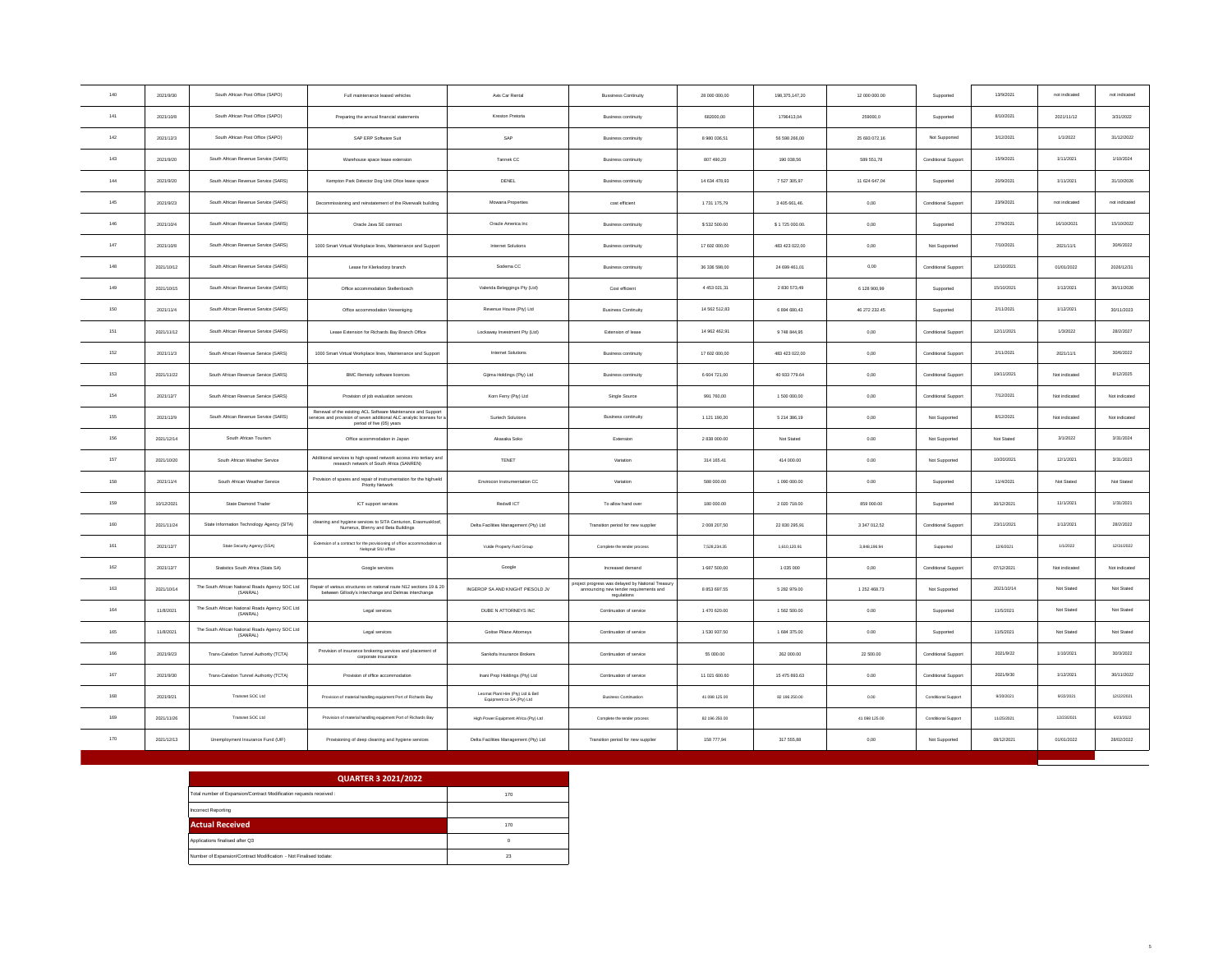| 140 | 2021/9/30  | South African Post Office (SAPO)                            | Full maintenance leased vehicles                                                                                                                                  | Avis Car Rental                                                 | <b>Bussiness Continuity</b>                                                                               | 28,000,000.00 | 198.375.147.20 | 12.000.000.00 | Supported           | 13/9/2021  | not indicated | not indicated |
|-----|------------|-------------------------------------------------------------|-------------------------------------------------------------------------------------------------------------------------------------------------------------------|-----------------------------------------------------------------|-----------------------------------------------------------------------------------------------------------|---------------|----------------|---------------|---------------------|------------|---------------|---------------|
| 141 | 2021/10/8  | South African Post Office (SAPO)                            | Preparing the annual financial statements                                                                                                                         | Kreston Pretoria                                                | Business continuity                                                                                       | 682000,00     | 1796413,04     | 259000,0      | Supported           | 8/10/2021  | 2021/11/12    | 3/31/2022     |
| 142 | 2021/12/3  | South African Post Office (SAPO)                            | SAP ERP Software Suit                                                                                                                                             | SAP                                                             | Business continuity                                                                                       | 8 980 036.51  | 56 598 266.00  | 25 693 072.16 | Not Supported       | 3/12/2021  | 1/1/2022      | 31/12/2022    |
| 143 | 2021/9/20  | South African Revenue Service (SARS)                        | Warehouse space lease extension                                                                                                                                   | Tannek CC                                                       | <b>Business continuity</b>                                                                                | 807 490.20    | 190 038,56     | 589 551,78    | Conditional Support | 15/9/2021  | 1/11/2021     | 1/10/2024     |
| 144 | 2021/9/20  | South African Revenue Service (SARS)                        | Kempton Park Detector Dog Unit Ofice lease space                                                                                                                  | DENEL                                                           | Business continuity                                                                                       | 14 634 478.93 | 7 527 305.97   | 11 624 647.04 | Supported           | 20/9/2021  | 1/11/2021     | 31/10/2026    |
| 145 | 2021/9/23  | South African Revenue Service (SARS)                        | Decommissioning and reinstatement of the Riverwalk building                                                                                                       | Mowana Properties                                               | cost efficient                                                                                            | 1731 175,79   | 3 405 661,46.  | 0,00          | Conditional Support | 23/9/2021  | not indicated | not indicated |
| 146 | 2021/10/4  | South African Revenue Service (SARS)                        | Oracle Java SE contract                                                                                                                                           | Oracle America Inc.                                             | <b>Business continuity</b>                                                                                | \$532 500.00  | \$1725 000.00. | 0,00          | Supported           | 27/9/2021  | 16/10/2021    | 15/10/2022    |
| 147 | 2021/10/8  | South African Revenue Service (SARS)                        | 1000 Smart Virtual Workplace lines, Maintenance and Support                                                                                                       | Internet Solutions                                              | <b>Business continuity</b>                                                                                | 17 602 000,00 | 483 423 022,00 | 0,00          | Not Supported       | 7/10/2021  | 2021/11/1     | 30/6/2022     |
| 148 | 2021/10/12 | South African Revenue Service (SARS)                        | Lease for Klerksdorp branch                                                                                                                                       | Sodema CC                                                       | <b>Business continuity</b>                                                                                | 36 336 598.00 | 24 699 461.01  | 0.00          | Conditional Support | 12/10/2021 | 01/01/2022    | 2026/12/31    |
| 149 | 2021/10/15 | South African Revenue Service (SARS)                        | Office accommodation Stellenbosch                                                                                                                                 | Valerida Beleggings Pty (Ltd)                                   | Cost efficient                                                                                            | 4 453 021,31  | 2 830 573,49   | 6 128 900.99  | Supported           | 15/10/2021 | 1/12/2021     | 30/11/2026    |
| 150 | 2021/11/4  | South African Revenue Service (SARS)                        | Office accommodation Vereeniging                                                                                                                                  | Revenue House (Pty) Ltd                                         | <b>Business Continuity</b>                                                                                | 14 562 512,83 | 6 894 680,43   | 46 272 232.45 | Supported           | 2/11/2021  | 1/12/2021     | 30/11/2023    |
| 151 | 2021/11/12 | South African Revenue Service (SARS)                        | Lease Extension for Richards Bay Branch Office                                                                                                                    | Lockaway Investment Pty (Ltd)                                   | Extension of lease                                                                                        | 14 962 462.91 | 9748 844.95    | 0.00          | Conditional Support | 12/11/2021 | 1/3/2022      | 28/2/2027     |
| 152 | 2021/11/3  | South African Revenue Service (SARS)                        | 1000 Smart Virtual Workplace lines, Maintenance and Support                                                                                                       | Internet Solutions                                              | <b>Business continuity</b>                                                                                | 17 602 000,00 | 483 423 022,00 | 0,00          | Conditional Support | 2/11/2021  | 2021/11/1     | 30/6/2022     |
| 153 | 2021/11/22 | South African Revenue Service (SARS)                        | <b>BMC Remedy software licences</b>                                                                                                                               | Gijima Holdings (Pty) Ltd                                       | Business continuity                                                                                       | 6 604 721.00  | 40 933 779.64  | 0.00          | Conditional Support | 19/11/2021 | Not indicated | 8/12/2025     |
| 154 | 2021/12/7  | South African Revenue Service (SARS)                        | Provision of job evaluation services                                                                                                                              | Korn Ferry (Pty) Ltd                                            | Single Source                                                                                             | 991 760,00    | 1 500 000,00   | 0,00          | Conditional Support | 7/12/2021  | Not indicated | Not indicated |
| 155 | 2021/12/9  | South African Revenue Service (SARS)                        | Renewal of the existing ACL Software Maintenance and Support<br>rvices and provision of seven additional ALC analytic licenses for a<br>period of five (05) years | Surtech Solutions                                               | <b>Business continuity</b>                                                                                | 1 121 190.20  | 5 214 386,19   | 0.00          | Not Supported       | 8/12/2021  | Not indicated | Not indicated |
| 156 | 2021/12/14 | South African Tourism                                       | Office accommodation in Japan                                                                                                                                     | Akasaka Soko                                                    | Extension                                                                                                 | 2 838 000.00  | Not Stated     | 0.00          | Not Supported       | Not Stated | 3/1/2022      | 3/31/2024     |
| 157 | 2021/10/20 | South African Weather Service                               | Additional services to high-speed network access into tertiary and<br>research network of South Africa (SANREN)                                                   | TENET                                                           | Variation                                                                                                 | 314 165.41    | 414 000.00     | 0.00          | Not Supported       | 10/20/2021 | 12/1/2021     | 3/31/2023     |
| 158 | 2021/11/4  | South African Weather Service                               | Provision of spares and repair of instrumentation for the highveld<br>Priority Network                                                                            | Envirocon Instrumentation CC                                    | Variation                                                                                                 | 588 000.00    | 1 090 000.00   | 0.00          | Supported           | 11/4/2021  | Not Stated    | Not Stated    |
| 159 | 10/12/2021 | State Diamond Trader                                        | ICT support services                                                                                                                                              | Redwill ICT                                                     | To allow hand over                                                                                        | 180 000.00    | 2 020 718.00   | 859 000.00    | Supported           | 10/12/2021 | 11/1/2021     | 1/31/2021     |
| 160 | 2021/11/24 | State Information Technology Agency (SITA)                  | cleaning and hygiene services to SITA Centurion, Erasmuskloof,<br>Numerus, Blenny and Beta Buildings                                                              | Delta Facilities Management (Pty) Ltd                           | Transition period for new supplier                                                                        | 2 008 207.50  | 22 830 295.91  | 3 347 012.52  | Conditional Support | 23/11/2021 | 1/12/2021     | 28/2/2022     |
| 161 | 2021/12/7  | State Security Agency (SSA)                                 | Extension of a contract for the provisioning of office accommodation at<br>Nelspruit SIU office                                                                   | Vukile Property Fund Group                                      | Complete the tender process                                                                               | 7,528,234.35  | 1,610,120.91   | 3.848.196.94  | Supported           | 12/6/2021  | 1/1/2022      | 12/31/2022    |
| 162 | 2021/12/7  | Statistics South Africa (Stats SA)                          | Google services                                                                                                                                                   | Google                                                          | Increased demand                                                                                          | 1,687,500.00  | 1.035.000      | $0.00 -$      | Conditional Support | 07/12/2021 | Not indicated | Not indicated |
| 163 | 2021/10/14 | The South African National Roads Agency SOC Ltd (SANRAL)    | Repair of various structures on national route N12 sections 19 & 20<br>between Gillooly's interchange and Delmas interchange                                      | INGEROP SA AND KNIGHT PIESOLD JV                                | roject progress was delayed by National Treasury<br>announcing new tender requirements and<br>regulations | 8 853 697.55  | 5 282 979.00   | 1 252 468.73  | Not Supported       | 2021/10/14 | Not Stated    | Not Stated    |
| 164 | 11/8/2021  | The South African National Roads Agency SOC Ltd<br>(SANRAL) | Legal services                                                                                                                                                    | DUBE N ATTORNEYS INC                                            | Continuation of service                                                                                   | 1470 620.00   | 1 562 500.00   | 0.00          | Supported           | 11/5/2021  | Not Stated    | Not Stated    |
| 165 | 11/8/2021  | The South African National Roads Agency SOC Ltd<br>(SANRAL) | Legal services                                                                                                                                                    | Goitse Pilane Attorneys                                         | Continuation of service                                                                                   | 1 530 937.50  | 1 684 375.00   | 0.00          | Supported           | 11/5/2021  | Not Stated    | Not Stated    |
| 166 | 2021/9/23  | Trans-Caledon Tunnel Authority (TCTA)                       | Provision of insurance brokering services and placement of<br>corporate insurance                                                                                 | Sankofa Insurance Brokers                                       | Continuation of service                                                                                   | 55 000.00     | 262 000.00     | 22 500.00     | Conditional Support | 2021/9/22  | 1/10/2021     | 30/3/2022     |
| 167 | 2021/9/30  | Trans-Caledon Tunnel Authority (TCTA)                       | Provision of office accommodation                                                                                                                                 | Inani Prop Holdings (Ptv) Ltd.                                  | Continuation of service                                                                                   | 11 021 600.60 | 15 475 893.63  | 0.00          | Conditional Support | 2021/9/30  | 1/12/2021     | 30/11/2022    |
| 168 | 2021/9/21  | Transnet SOC Ltd                                            | Provision of material handling equipment Port of Richards Bay                                                                                                     | Leomat Plant Hire (Pty) Ltd & Bell<br>Equipment co SA (Pty) Ltd | <b>Business Continuation</b>                                                                              | 41 098 125.00 | 82 196 250.00  | 0.00          | Conditional Support | 9/20/2021  | 9/22/2021     | 12/22/2021    |
| 169 | 2021/11/26 | Transnet SOC Ltd                                            | Provision of material handling equipment Port of Richards Bay                                                                                                     | High Power Equipment Africa (Pty) Ltd.                          | Complete the tender process                                                                               | 82 196 250.00 |                | 41 098 125.00 | Conditional Support | 11/25/2021 | 12/23/2021    | 6/23/2022     |
| 170 | 2021/12/13 | Unemployment Insurance Fund (UIF)                           | Provisioning of deep cleaning and hygiene services                                                                                                                | Delta Facilities Management (Pty) Ltd                           | Transition period for new supplier                                                                        | 158 777.94    | 317 555.88     | 0,00          | Not Supported       | 08/12/2021 | 01/01/2022    | 28/02/2022    |

| <b>QUARTER 3 2021/2022</b>                                          |          |
|---------------------------------------------------------------------|----------|
| Total number of Expansion/Contract Modification requests received : | 170      |
| <b>Incorrect Reporting</b>                                          |          |
| <b>Actual Received</b>                                              | 170      |
| Applications finalised after Q3                                     | $\Omega$ |
| Number of Expansion/Contract Modification - Not Finalised todate:   | 23       |